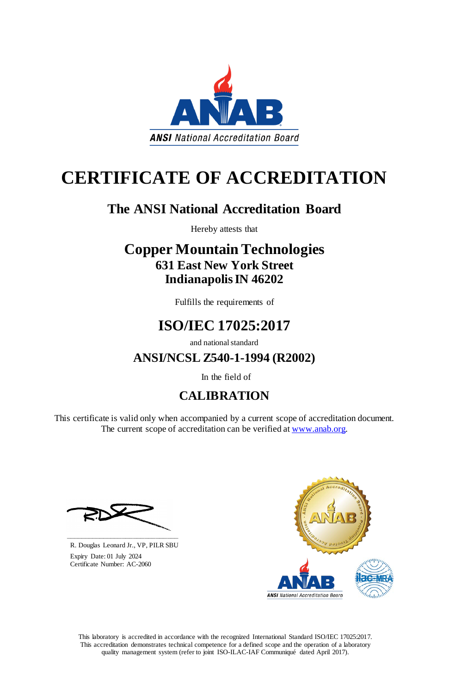This laboratory is accredited in accordance with the recognized International Standard ISO/IEC 17025:2017. This accreditation demonstrates technical competence for a defined scope and the operation of a laboratory quality management system (refer to joint ISO-ILAC-IAF Communiqué dated April 2017).

This certificate is valid only when accompanied by a current scope of accreditation document. The current scope of accreditation can be verified at [www.anab.org.](http://www.anab.org/)







# **CERTIFICATE OF ACCREDITATION**

## **The ANSI National Accreditation Board**

Hereby attests that

## **Copper Mountain Technologies 631 East New York Street Indianapolis IN 46202**

Fulfills the requirements of

## **ISO/IEC 17025:2017**

and national standard

**ANSI/NCSL Z540-1-1994 (R2002)**

In the field of

## **CALIBRATION**

**\_\_\_\_\_\_\_\_\_\_\_\_\_\_\_\_\_\_\_\_\_\_\_\_\_\_\_\_\_\_** R. Douglas Leonard Jr., VP, PILR SBU

 Expiry Date: 01 July 2024 Certificate Number: AC-2060

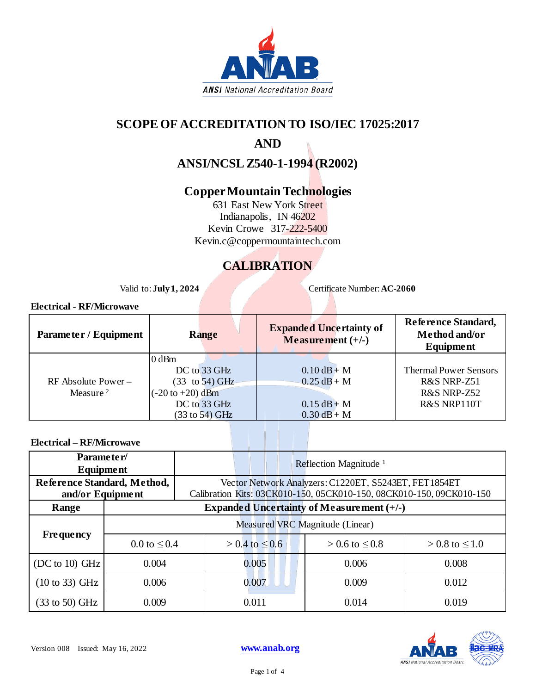

### **SCOPE OF ACCREDITATION TO ISO/IEC 17025:2017**

### **AND**

**ANSI/NCSL Z540-1-1994 (R2002)**

### **Copper Mountain Technologies**

631 East New York Street Indianapolis, IN 46202 Kevin Crowe 317-222-5400 Kevin.c@coppermountaintech.com

### **CALIBRATION**

Valid to: **July 1, 2024** Certificate Number: **AC-2060** 

#### **Electrical - RF/Microwave**

| Parameter / Equipment | <b>Range</b>                        | <b>Expanded Uncertainty of</b><br>Measurement $(+/-)$ | Reference Standard,<br>Method and/or<br>Equipment |
|-----------------------|-------------------------------------|-------------------------------------------------------|---------------------------------------------------|
|                       | $0$ dBm                             |                                                       |                                                   |
|                       | DC to 33 GHz                        | $0.10$ dB + M                                         | <b>Thermal Power Sensors</b>                      |
| $RF$ Absolute Power – | $(33 \text{ to } 54) \text{ GHz}$   | $0.25 dB + M$                                         | R&S NRP-Z51                                       |
| Measure <sup>2</sup>  | $(-20 \text{ to } +20) \text{ dBm}$ |                                                       | R&S NRP-Z52                                       |
|                       | DC to 33 GHz                        | $0.15 dB + M$                                         | R&S NRP110T                                       |
|                       | $(33 \text{ to } 54)$ GHz           | $0.30$ dB + M                                         |                                                   |

#### **Electrical – RF/Microwave**

| Parameter/<br>Equipment     |                   | Reflection Magnitude $1$                                                                                                      |                       |                                                  |                       |  |  |
|-----------------------------|-------------------|-------------------------------------------------------------------------------------------------------------------------------|-----------------------|--------------------------------------------------|-----------------------|--|--|
| Reference Standard, Method, |                   | Vector Network Analyzers: C1220ET, S5243ET, FET1854ET<br>Calibration Kits: 03CK010-150, 05CK010-150, 08CK010-150, 09CK010-150 |                       |                                                  |                       |  |  |
| and/or Equipment<br>Range   |                   |                                                                                                                               |                       | <b>Expanded Uncertainty of Measurement (+/-)</b> |                       |  |  |
|                             |                   |                                                                                                                               |                       |                                                  |                       |  |  |
| <b>Frequency</b>            |                   | Measured VRC Magnitude (Linear)                                                                                               |                       |                                                  |                       |  |  |
|                             | 0.0 to $\leq 0.4$ |                                                                                                                               | $> 0.4$ to $\leq 0.6$ | $> 0.6$ to $\leq 0.8$                            | $> 0.8$ to $\leq 1.0$ |  |  |
| (DC to 10) GHz              | 0.004             |                                                                                                                               | 0.005                 | 0.006                                            | 0.008                 |  |  |
| $(10 \text{ to } 33)$ GHz   | 0.006             |                                                                                                                               | 0.007                 | 0.009                                            | 0.012                 |  |  |
| $(33 \text{ to } 50)$ GHz   | 0.009             |                                                                                                                               | 0.011                 | 0.014                                            | 0.019                 |  |  |

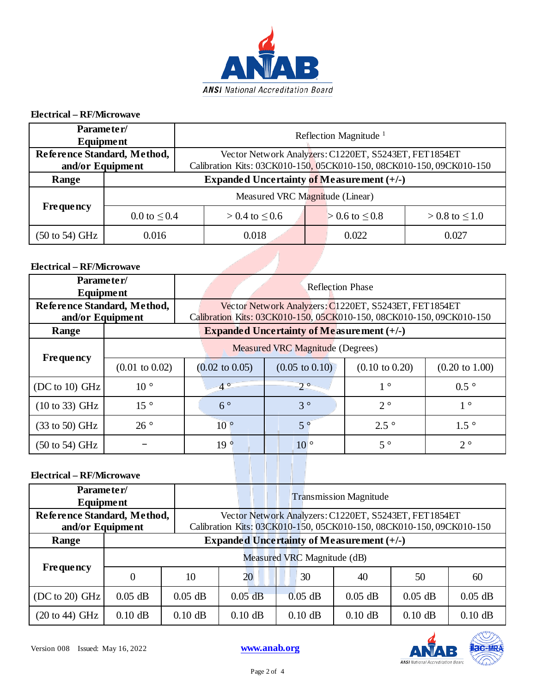

#### **Electrical – RF/Microwave**

| Parameter/<br>Equipment                         |                                 | Reflection Magnitude <sup>1</sup>                                                                                             |       |                       |                       |       |
|-------------------------------------------------|---------------------------------|-------------------------------------------------------------------------------------------------------------------------------|-------|-----------------------|-----------------------|-------|
| Reference Standard, Method,<br>and/or Equipment |                                 | Vector Network Analyzers: C1220ET, S5243ET, FET1854ET<br>Calibration Kits: 03CK010-150, 05CK010-150, 08CK010-150, 09CK010-150 |       |                       |                       |       |
| Range                                           |                                 | Expanded Uncertainty of Measurement $(+/-)$                                                                                   |       |                       |                       |       |
|                                                 | Measured VRC Magnitude (Linear) |                                                                                                                               |       |                       |                       |       |
| <b>Frequency</b>                                |                                 | 0.0 to $\leq 0.4$<br>$> 0.4$ to $\leq 0.6$                                                                                    |       | $> 0.6$ to $\leq 0.8$ | $> 0.8$ to $\leq 1.0$ |       |
| $(50 \text{ to } 54) \text{ GHz}$               | 0.016                           |                                                                                                                               | 0.018 |                       | 0.022                 | 0.027 |

#### **Electrical – RF/Microwave**

| Parameter/<br>Equipment                         |                           | <b>Reflection Phase</b>                                                                                                       |                                             |                           |                           |  |  |  |
|-------------------------------------------------|---------------------------|-------------------------------------------------------------------------------------------------------------------------------|---------------------------------------------|---------------------------|---------------------------|--|--|--|
| Reference Standard, Method,<br>and/or Equipment |                           | Vector Network Analyzers: C1220ET, S5243ET, FET1854ET<br>Calibration Kits: 03CK010-150, 05CK010-150, 08CK010-150, 09CK010-150 |                                             |                           |                           |  |  |  |
| Range                                           |                           |                                                                                                                               | Expanded Uncertainty of Measurement $(+/-)$ |                           |                           |  |  |  |
| <b>Frequency</b>                                |                           | <b>Measured VRC Magnitude (Degrees)</b>                                                                                       |                                             |                           |                           |  |  |  |
|                                                 | $(0.01 \text{ to } 0.02)$ | $(0.02 \text{ to } 0.05)$                                                                                                     | $(0.05 \text{ to } 0.10)$                   | $(0.10 \text{ to } 0.20)$ | $(0.20 \text{ to } 1.00)$ |  |  |  |
| (DC to 10) GHz                                  | $10^{\circ}$              | $-4^\circ$                                                                                                                    | $-2$ $^{\circ}$                             | $1^{\circ}$               | $0.5\degree$              |  |  |  |
| $(10 \text{ to } 33)$ GHz                       | $15^{\circ}$              | $6^{\circ}$                                                                                                                   | $3^{\circ}$                                 | $2^{\circ}$               | $1^{\circ}$               |  |  |  |
| $(33 \text{ to } 50)$ GHz                       | $26^{\circ}$              | $10^{\circ}$                                                                                                                  | $5^{\circ}$                                 | $2.5\degree$              | $1.5\degree$              |  |  |  |
| $(50 \text{ to } 54)$ GHz                       |                           | 19 <sup>°</sup>                                                                                                               | 10 <sup>°</sup>                             | $5^{\circ}$               | $2^{\circ}$               |  |  |  |

#### **Electrical – RF/Microwave**

| Parameter/<br>Equipment                         |           |                                                  | <b>Transmission Magnitude</b>                                                                                                 |           |           |           |           |
|-------------------------------------------------|-----------|--------------------------------------------------|-------------------------------------------------------------------------------------------------------------------------------|-----------|-----------|-----------|-----------|
| Reference Standard, Method,<br>and/or Equipment |           |                                                  | Vector Network Analyzers: C1220ET, S5243ET, FET1854ET<br>Calibration Kits: 03CK010-150, 05CK010-150, 08CK010-150, 09CK010-150 |           |           |           |           |
| Range                                           |           | <b>Expanded Uncertainty of Measurement (+/-)</b> |                                                                                                                               |           |           |           |           |
|                                                 |           | Measured VRC Magnitude (dB)                      |                                                                                                                               |           |           |           |           |
| <b>Frequency</b>                                | $\theta$  | 10                                               | 20                                                                                                                            | 30        | 40        | 50        | 60        |
| $(DC to 20)$ GHz                                | $0.05$ dB | $0.05$ dB                                        | $0.05$ dB                                                                                                                     | $0.05$ dB | $0.05$ dB | $0.05$ dB | $0.05$ dB |
| $(20 \text{ to } 44) \text{ GHz}$               | $0.10$ dB | $0.10$ dB                                        | $0.10$ dB                                                                                                                     | $0.10$ dB | $0.10$ dB | $0.10$ dB | $0.10$ dB |



Page 2 of 4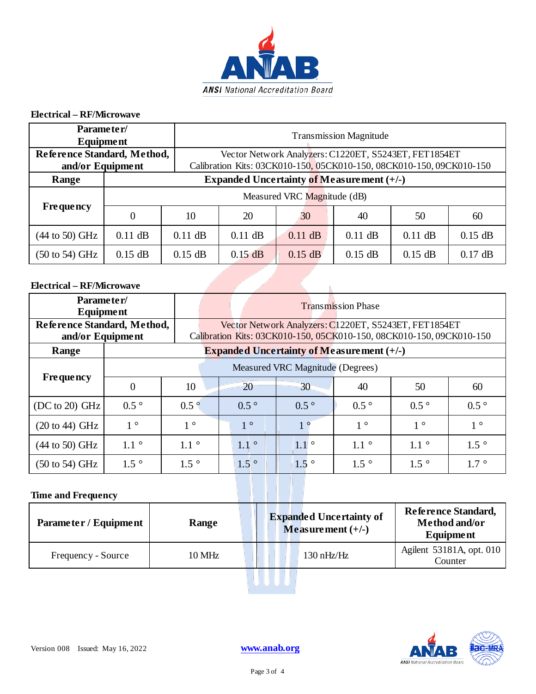

#### **Electrical – RF/Microwave**

| Parameter/<br>Equipment                         |                                                                                         |                             | <b>Transmission Magnitude</b>                                                                                                 |    |                                             |    |    |  |
|-------------------------------------------------|-----------------------------------------------------------------------------------------|-----------------------------|-------------------------------------------------------------------------------------------------------------------------------|----|---------------------------------------------|----|----|--|
| Reference Standard, Method,<br>and/or Equipment |                                                                                         |                             | Vector Network Analyzers: C1220ET, S5243ET, FET1854ET<br>Calibration Kits: 03CK010-150, 05CK010-150, 08CK010-150, 09CK010-150 |    |                                             |    |    |  |
| Range                                           |                                                                                         |                             |                                                                                                                               |    | Expanded Uncertainty of Measurement $(+/-)$ |    |    |  |
|                                                 |                                                                                         | Measured VRC Magnitude (dB) |                                                                                                                               |    |                                             |    |    |  |
| <b>Frequency</b>                                | $\theta$                                                                                | 10                          | 20                                                                                                                            | 30 | 40                                          | 50 | 60 |  |
| $(44 \text{ to } 50) \text{ GHz}$               | $0.11$ dB                                                                               | $0.11$ dB                   | $0.15$ dB<br>$0.11$ dB<br>$0.11$ dB<br>$0.11$ dB<br>$0.11$ dB                                                                 |    |                                             |    |    |  |
| $(50 \text{ to } 54) \text{ GHz}$               | $0.15$ dB<br>$0.17$ dB<br>$0.15$ dB<br>$0.15$ dB<br>$0.15$ dB<br>$0.15$ dB<br>$0.15$ dB |                             |                                                                                                                               |    |                                             |    |    |  |
| <b>Electrical – RF/Microwave</b>                |                                                                                         |                             |                                                                                                                               |    |                                             |    |    |  |

#### **Electrical – RF/Microwave**

| Parameter/<br>Equipment                         |                                  |              | <b>Transmission Phase</b>                                                                                                     |                  |                                                               |               |              |
|-------------------------------------------------|----------------------------------|--------------|-------------------------------------------------------------------------------------------------------------------------------|------------------|---------------------------------------------------------------|---------------|--------------|
| Reference Standard, Method,<br>and/or Equipment |                                  |              | Vector Network Analyzers: C1220ET, S5243ET, FET1854ET<br>Calibration Kits: 03CK010-150, 05CK010-150, 08CK010-150, 09CK010-150 |                  |                                                               |               |              |
| Range                                           |                                  |              |                                                                                                                               |                  | <b>Expanded Uncertainty of Measurement <math>(+/-)</math></b> |               |              |
|                                                 | Measured VRC Magnitude (Degrees) |              |                                                                                                                               |                  |                                                               |               |              |
| <b>Frequency</b>                                | $\overline{0}$                   | 10           | 20                                                                                                                            | $30 -$           | 40                                                            | 50            | 60           |
| (DC to 20) GHz                                  | $0.5^{\circ}$                    | $0.5\degree$ | $0.5^{\circ}$                                                                                                                 | $0.5^\circ$      | $0.5^{\circ}$                                                 | $0.5^{\circ}$ | $0.5\degree$ |
| $(20 \text{ to } 44) \text{ GHz}$               | $1^{\circ}$                      | $1^{\circ}$  | $1^{\circ}$                                                                                                                   | 1 <sup>°</sup>   | $1^{\circ}$                                                   | $1^{\circ}$   | $1^{\circ}$  |
| $(44$ to 50) GHz                                | $1.1\degree$                     | $1.1\degree$ | $1.1\degree$                                                                                                                  | $1.1$ $^{\circ}$ | $1.1\degree$                                                  | $1.1\degree$  | $1.5\degree$ |
| $(50 \text{ to } 54)$ GHz                       | $1.5\degree$                     | $1.5\degree$ | $1.5$ $^{\circ}$                                                                                                              | $1.5^{\circ}$    | $1.5\degree$                                                  | $1.5\degree$  | $1.7\degree$ |

#### **Time and Frequency**

| Parameter / Equipment | Range  | <b>Expanded Uncertainty of</b><br>Measurement $(+/-)$ | Reference Standard,<br>Method and/or<br><b>Equipment</b> |
|-----------------------|--------|-------------------------------------------------------|----------------------------------------------------------|
| Frequency - Source    | 10 MHz | $130 \text{ nHz/Hz}$                                  | Agilent 53181A, opt. 010<br>Counter                      |
|                       |        |                                                       |                                                          |